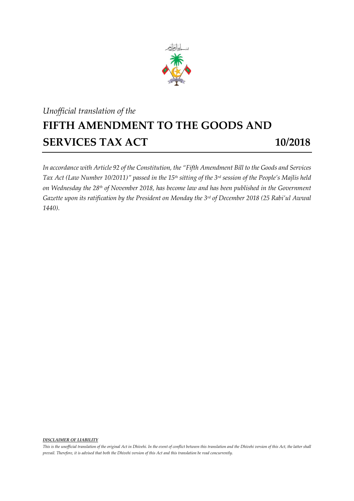

## *Unofficial translation of the* **FIFTH AMENDMENT TO THE GOODS AND SERVICES TAX ACT 10/2018**

*In accordance with Article 92 of the Constitution, the "Fifth Amendment Bill to the Goods and Services Tax Act (Law Number 10/2011)" passed in the 15 th sitting of the 3 rd session of the People's Majlis held on Wednesday the 28th of November 2018, has become law and has been published in the Government Gazette upon its ratification by the President on Monday the 3 rd of December 2018 (25 Rabi'ul Awwal 1440).*

*DISCLAIMER OF LIABILITY*

*This is the unofficial translation of the original Act in Dhivehi. In the event of conflict between this translation and the Dhivehi version of this Act, the latter shall prevail. Therefore, it is advised that both the Dhivehi version of this Act and this translation be read concurrently.*